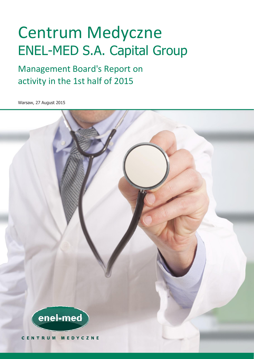# Centrum Medyczne ENEL-MED S.A. Capital Group

## Management Board's Report on activity in the 1st half of 2015

Warsaw, 27 August 2015

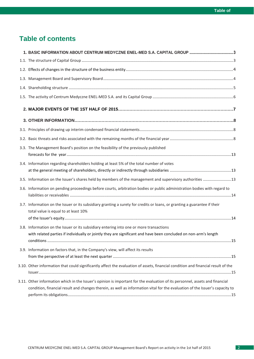## **Table of contents**

| 1. BASIC INFORMATION ABOUT CENTRUM MEDYCZNE ENEL-MED S.A. CAPITAL GROUP 3                                                                                                                                                                                    |  |
|--------------------------------------------------------------------------------------------------------------------------------------------------------------------------------------------------------------------------------------------------------------|--|
|                                                                                                                                                                                                                                                              |  |
|                                                                                                                                                                                                                                                              |  |
|                                                                                                                                                                                                                                                              |  |
|                                                                                                                                                                                                                                                              |  |
|                                                                                                                                                                                                                                                              |  |
|                                                                                                                                                                                                                                                              |  |
|                                                                                                                                                                                                                                                              |  |
|                                                                                                                                                                                                                                                              |  |
|                                                                                                                                                                                                                                                              |  |
| 3.3. The Management Board's position on the feasibility of the previously published                                                                                                                                                                          |  |
| 3.4. Information regarding shareholders holding at least 5% of the total number of votes                                                                                                                                                                     |  |
| 3.5. Information on the Issuer's shares held by members of the management and supervisory authorities  13                                                                                                                                                    |  |
| 3.6. Information on pending proceedings before courts, arbitration bodies or public administration bodies with regard to                                                                                                                                     |  |
| 3.7. Information on the Issuer or its subsidiary granting a surety for credits or loans, or granting a guarantee if their<br>total value is equal to at least 10%                                                                                            |  |
| 3.8. Information on the Issuer or its subsidiary entering into one or more transactions                                                                                                                                                                      |  |
| with related parties if individually or jointly they are significant and have been concluded on non-arm's length                                                                                                                                             |  |
| 3.9. Information on factors that, in the Company's view, will affect its results                                                                                                                                                                             |  |
| 3.10. Other information that could significantly affect the evaluation of assets, financial condition and financial result of the                                                                                                                            |  |
| 3.11. Other information which in the Issuer's opinion is important for the evaluation of its personnel, assets and financial<br>condition, financial result and changes therein, as well as information vital for the evaluation of the Issuer's capacity to |  |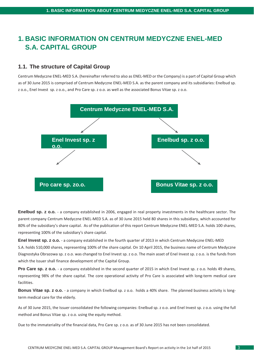## <span id="page-2-0"></span>**1. BASIC INFORMATION ON CENTRUM MEDYCZNE ENEL-MED S.A. CAPITAL GROUP**

## <span id="page-2-1"></span>**1.1. The structure of Capital Group**

Centrum Medyczne ENEL-MED S.A. (hereinafter referred to also as ENEL-MED or the Company) is a part of Capital Group which as of 30 June 2015 is comprised of Centrum Medyczne ENEL-MED S.A. as the parent company and its subsidiaries: Enelbud sp. z o.o., Enel Invest sp. z o.o., and Pro Care sp. z o.o. as well as the associated Bonus Vitae sp. z o.o.



**Enelbud sp. z o.o.** - a company established in 2006, engaged in real property investments in the healthcare sector. The parent company Centrum Medyczne ENEL-MED S.A. as of 30 June 2015 held 80 shares in this subsidiary, which accounted for 80% of the subsidiary's share capital. As of the publication of this report Centrum Medyczne ENEL-MED S.A. holds 100 shares, representing 100% of the subsidiary's share capital.

**Enel Invest sp. z o.o.** - a company established in the fourth quarter of 2013 in which Centrum Medyczne ENEL-MED S.A. holds 510,000 shares, representing 100% of the share capital. On 10 April 2015, the business name of Centrum Medyczne Diagnostyka Obrazowa sp. z o.o. was changed to Enel Invest sp. z o.o. The main asset of Enel Invest sp. z o.o. is the funds from which the Issuer shall finance development of the Capital Group.

**Pro Care sp. z o.o.** - a company established in the second quarter of 2015 in which Enel Invest sp. z o.o. holds 49 shares, representing 98% of the share capital. The core operational activity of Pro Care is associated with long-term medical care facilities.

**Bonus Vitae sp. z o.o.** - a company in which Enelbud sp. z o.o. holds a 40% share. The planned business activity is longterm medical care for the elderly.

As of 30 June 2015, the Issuer consolidated the following companies: Enelbud sp. z o.o. and Enel Invest sp. z o.o. using the full method and Bonus Vitae sp. z o.o. using the equity method.

Due to the immateriality of the financial data, Pro Care sp. z o.o. as of 30 June 2015 has not been consolidated.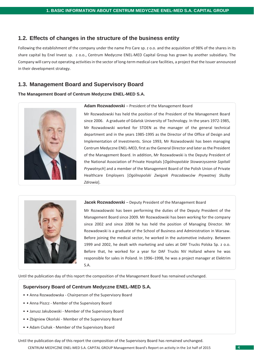## **1.2. Effects of changes in the structure of the business entity**

Following the establishment of the company under the name Pro Care sp. z o.o. and the acquisition of 98% of the shares in its share capital by Enel Invest sp. z o.o., Centrum Medyczne ENEL-MED Capital Group has grown by another subsidiary. The Company will carry out operating activities in the sector of long-term medical care facilities, a project that the Issuer announced in their development strategy.

## <span id="page-3-0"></span>**1.3. Management Board and Supervisory Board**

#### **The Management Board of Centrum Medyczne ENEL-MED S.A.**



#### **Adam Rozwadowski** – President of the Management Board

Mr Rozwadowski has held the position of the President of the Management Board since 2006. A graduate of Gdańsk University of Technology. In the years 1972-1985, Mr Rozwadowski worked for STOEN as the manager of the general technical department and in the years 1985-1995 as the Director of the Office of Design and Implementation of Investments. Since 1993, Mr Rozwadowski has been managing Centrum Medyczne ENEL-MED, first as the General Director and later as the President of the Management Board. In addition, Mr Rozwadowski is the Deputy President of the National Association of Private Hospitals [*Ogólnopolskie Stowarzyszenie Szpitali Prywatnych*] and a member of the Management Board of the Polish Union of Private Healthcare Employers [*Ogólnopolski Związek Pracodawców Prywatnej Służby Zdrowia*].



#### Jacek Rozwadowski - Deputy President of the Management Board

Mr Rozwadowski has been performing the duties of the Deputy President of the Management Board since 2009. Mr Rozwadowski has been working for the company since 2002 and since 2008 he has held the position of Managing Director. Mr Rozwadowski is a graduate of the School of Business and Administration in Warsaw. Before joining the medical sector, he worked in the automotive industry. Between 1999 and 2002, he dealt with marketing and sales at DAF Trucks Polska Sp. z o.o. Before that, he worked for a year for DAF Trucks NV Holland where he was responsible for sales in Poland. In 1996–1998, he was a project manager at Elektrim S.A.

Until the publication day of this report the composition of the Management Board has remained unchanged.

### **Supervisory Board of Centrum Medyczne ENEL-MED S.A.**

- • Anna Rozwadowska Chairperson of the Supervisory Board
- • Anna Piszcz Member of the Supervisory Board
- • Janusz Jakubowski Member of the Supervisory Board
- • Zbigniew Okoński Member of the Supervisory Board
- • Adam Ciuhak Member of the Supervisory Board

Until the publication day of this report the composition of the Supervisory Board has remained unchanged.

CENTRUM MEDYCZNE ENEL-MED S.A. CAPITAL GROUP Management Board's Report on activity in the 1st half of 2015 4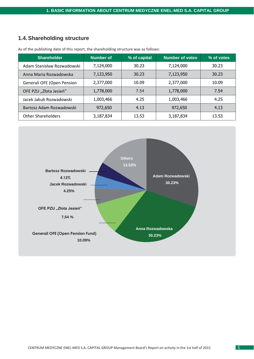## <span id="page-4-0"></span>**1.4.Shareholding structure**

| <b>Shareholder</b>         | <b>Number of</b> | % of capital | <b>Number of votes</b> | % of votes |
|----------------------------|------------------|--------------|------------------------|------------|
| Adam Stanisław Rozwadowski | 7,124,000        | 30.23        | 7,124,000              | 30.23      |
| Anna Maria Rozwadowska     | 7,123,950        | 30.23        | 7,123,950              | 30.23      |
| Generali OFE (Open Pension | 2,377,000        | 10.09        | 2,377,000              | 10.09      |
| OFE PZU "Złota Jesień"     | 1,778,000        | 7.54         | 1,778,000              | 7.54       |
| Jacek Jakub Rozwadowski    | 1,003,466        | 4.25         | 1,003,466              | 4.25       |
| Bartosz Adam Rozwadowski   | 972,650          | 4.13         | 972,650                | 4.13       |
| <b>Other Shareholders</b>  | 3,187,834        | 13.53        | 3,187,834              | 13.53      |

As of the publishing date of this report, the shareholding structure was as follows:

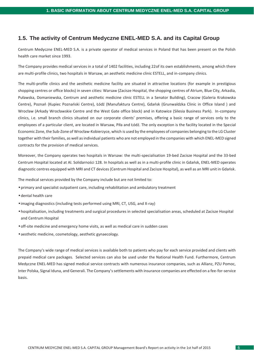## <span id="page-5-0"></span>**1.5. The activity of Centrum Medyczne ENEL-MED S.A. and its Capital Group**

Centrum Medyczne ENEL-MED S.A. is a private operator of medical services in Poland that has been present on the Polish health care market since 1993.

The Company provides medical services in a total of 1402 facilities, including 22of its own establishments, among which there are multi-profile clinics, two hospitals in Warsaw, an aesthetic medicine clinic ESTELL, and in-company clinics.

The multi-profile clinics and the aesthetic medicine facility are situated in attractive locations (for example in prestigious shopping centres or office blocks) in seven cities: Warsaw (Zacisze Hospital, the shopping centres of Atrium, Blue City, Arkadia, Puławska, Domaniewska, Centrum and aesthetic medicine clinic ESTELL in a Senator Building), Cracow (Galeria Krakowska Centre), Poznań (Kupiec Poznański Centre), Łódź (Manufaktura Centre), Gdańsk (Grunwaldzka Clinic in Office Island ) and Wrocław (Arkady Wrocławskie Centre and the West Gate office block) and in Katowice (Silesia Business Park). In-company clinics, i.e. small branch clinics situated on our corporate clients' premises, offering a basic range of services only to the employees of a particular client, are located in Warsaw, Piła and Łódź. The only exception is the facility located in the Special Economic Zone, the Sub-Zone of Wrocław-Kobierzyce, which is used by the employees of companies belonging to the LG Cluster together with their families, as well as individual patients who are not employed in the companies with which ENEL-MED signed contracts for the provision of medical services.

Moreover, the Company operates two hospitals in Warsaw: the multi-specialisation 19-bed Zacisze Hospital and the 33-bed Centrum Hospital located at Al. Solidarności 128. In hospitals as well as in a multi-profile clinic in Gdańsk, ENEL-MED operates diagnostic centres equipped with MRI and CT devices (Centrum Hospital and Zacisze Hospital), as well as an MRI unit in Gdańsk.

The medical services provided by the Company include but are not limited to:

- •primary and specialist outpatient care, including rehabilitation and ambulatory treatment
- •dental health care
- •imaging diagnostics (including tests performed using MRI, CT, USG, and X-ray)
- •hospitalisation, including treatments and surgical procedures in selected specialisation areas, scheduled at Zacisze Hospital and Centrum Hospital
- •off-site medicine and emergency home visits, as well as medical care in sudden cases
- •aesthetic medicine, cosmetology, aesthetic gynaecology.

The Company's wide range of medical services is available both to patients who pay for each service provided and clients with prepaid medical care packages. Selected services can also be used under the National Health Fund. Furthermore, Centrum Medyczne ENEL-MED has signed medical service contracts with numerous insurance companies, such as Allianz, PZU Pomoc, Inter Polska, Signal Iduna, and Generali. The Company's settlements with insurance companies are effected on a fee-for-service basis.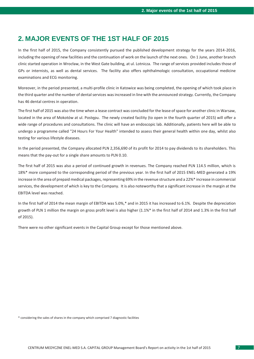## **2. MAJOR EVENTS OF THE 1ST HALF OF 2015**

In the first half of 2015, the Company consistently pursued the published development strategy for the years 2014-2016, including the opening of new facilities and the continuation of work on the launch of the next ones. On 1 June, another branch clinic started operation in Wrocław, in the West Gate building, at ul. Lotnicza. The range of services provided includes those of GPs or internists, as well as dental services. The facility also offers ophthalmologic consultation, occupational medicine examinations and ECG monitoring.

Moreover, in the period presented, a multi-profile clinic in Katowice was being completed, the opening of which took place in the third quarter and the number of dental services was increased in line with the announced strategy. Currently, the Company has 46 dental centres in operation.

The first half of 2015 was also the time when a lease contract was concluded for the lease of space for another clinic in Warsaw, located in the area of Mokotów at ul. Postępu. The newly created facility (to open in the fourth quarter of 2015) will offer a wide range of procedures and consultations. The clinic will have an endoscopic lab. Additionally, patients here will be able to undergo a programme called "24 Hours For Your Health" intended to assess their general health within one day, whilst also testing for various lifestyle diseases.

In the period presented, the Company allocated PLN 2,356,690 of its profit for 2014 to pay dividends to its shareholders. This means that the pay-out for a single share amounts to PLN 0.10.

The first half of 2015 was also a period of continued growth in revenues. The Company reached PLN 114.5 million, which is 18%\* more compared to the corresponding period of the previous year. In the first half of 2015 ENEL-MED generated a 19% increase in the area of prepaid medical packages, representing 69% in the revenue structure and a 22%\* increase in commercial services, the development of which is key to the Company. It is also noteworthy that a significant increase in the margin at the EBITDA level was reached.

In the first half of 2014 the mean margin of EBITDA was 5.0%,\* and in 2015 it has increased to 6.1%. Despite the depreciation growth of PLN 1 million the margin on gross profit level is also higher (1.1%\* in the first half of 2014 and 1.3% in the first half of 2015).

There were no other significant events in the Capital Group except for those mentioned above.

\* considering the sales of shares in the company which comprised 7 diagnostic facilities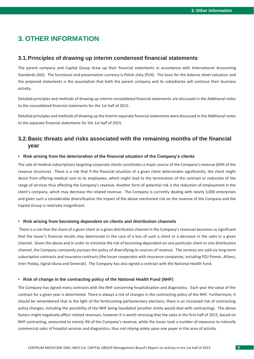## <span id="page-7-0"></span>**3. OTHER INFORMATION**

#### <span id="page-7-1"></span>**3.1.Principles of drawing up interim condensed financial statements**

The parent company and Capital Group draw up their financial statements in accordance with International Accounting Standards (IAS). The functional and presentation currency is Polish zloty (PLN). The basis for the balance sheet valuation and the prepared statements is the assumption that both the parent company and its subsidiaries will continue their business activity.

Detailed principles and methods of drawing up interim consolidated financial statements are discussed in the Additional notes to the consolidated financial statements for the 1st half of 2015.

Detailed principles and methods of drawing up the interim separate financial statements were discussed in the Additional notes to the separate financial statements for the 1st half of 2015.

## <span id="page-7-2"></span>**3.2.Basic threats and risks associated with the remaining months of the financial year**

#### **• Risk arising from the deterioration of the financial situation of the Company's clients**

The sale of medical subscriptions targeting corporate clients constitutes a major source of the Company's revenue (69% of the revenue structure). There is a risk that if the financial situation of a given client deteriorates significantly, the client might desist from offering medical care to its employees, which might lead to the termination of the contract or reduction of the range of services thus affecting the Company's revenue. Another form of potential risk is the reduction of employment in the client's company, which may decrease the related revenue. The Company is currently dealing with nearly 3,000 enterprises and given such a considerable diversification the impact of the above mentioned risk on the revenue of the Company and the Capital Group is relatively insignificant.

#### **• Risk arising from becoming dependent on clients and distribution channels**

There is a risk that the share of a given client or a given distribution channel in the Company's revenues becomes so significant that the Issuer's financial results may deteriorate in the case of a loss of such a client or a decrease in the sales in a given channel. Given the above and in order to minimise the risk of becoming dependent on one particular client or one distribution channel, the Company constantly pursues the policy of diversifying its sources of revenue. The services are sold via long-term subscription contracts and insurance contracts (the Issuer cooperates with insurance companies, including PZU Pomoc, Allianz, Inter Polska, Signal Iduna and Generali). The Company has also signed a contract with the National Health Fund.

#### **• Risk of change in the contracting policy of the National Health Fund (NHF)**

The Company has signed many contracts with the NHF concerning hospitalisation and diagnostics. Each year the value of the contract for a given year is determined. There is always a risk of changes in the contracting policy of the NHF. Furthermore, it should be remembered that in the light of the forthcoming parliamentary elections, there is an increased risk of contracting policy changes, including the possibility of the NHF being liquidated (another entity would deal with contracting). The above factors might negatively affect related revenues, however it is worth stressing that the sales in the first half of 2015, based on NHF contracting, amounted to merely 4% of the Company's revenue, while the Issuer took a number of measures to intensify commercial sales of hospital services and diagnostics, thus not relying solely upon one payer in this area of activity.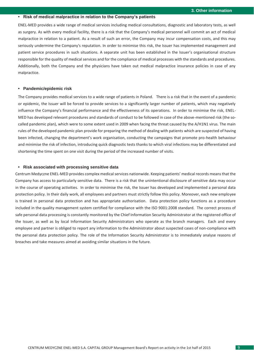#### **• Risk of medical malpractice in relation to the Company's patients**

ENEL-MED provides a wide range of medical services including medical consultations, diagnostic and laboratory tests, as well as surgery. As with every medical facility, there is a risk that the Company's medical personnel will commit an act of medical malpractice in relation to a patient. As a result of such an error, the Company may incur compensation costs, and this may seriously undermine the Company's reputation. In order to minimise this risk, the Issuer has implemented management and patient service procedures in such situations. A separate unit has been established in the Issuer's organisational structure responsible for the quality of medical services and for the compliance of medical processes with the standards and procedures. Additionally, both the Company and the physicians have taken out medical malpractice insurance policies in case of any malpractice.

#### **• Pandemic/epidemic risk**

The Company provides medical services to a wide range of patients in Poland. There is a risk that in the event of a pandemic or epidemic, the Issuer will be forced to provide services to a significantly larger number of patients, which may negatively influence the Company's financial performance and the effectiveness of its operations. In order to minimise the risk, ENEL-MED has developed relevant procedures and standards of conduct to be followed in case of the above-mentioned risk (the socalled pandemic plan), which were to some extent used in 2009 when facing the threat caused by the A/H1N1 virus. The main rules of the developed pandemic plan provide for preparing the method of dealing with patients which are suspected of having been infected, changing the department's work organisation, conducting the campaigns that promote pro-health behaviour and minimise the risk of infection, introducing quick diagnostic tests thanks to which viral infections may be differentiated and shortening the time spent on one visit during the period of the increased number of visits.

#### **• Risk associated with processing sensitive data**

Centrum Medyczne ENEL-MED provides complex medical services nationwide. Keeping patients' medical records means that the Company has access to particularly sensitive data. There is a risk that the unintentional disclosure of sensitive data may occur in the course of operating activities. In order to minimise the risk, the Issuer has developed and implemented a personal data protection policy. In their daily work, all employees and partners must strictly follow this policy. Moreover, each new employee is trained in personal data protection and has appropriate authorisation. Data protection policy functions as a procedure included in the quality management system certified for compliance with the ISO 9001:2008 standard. The correct process of safe personal data processing is constantly monitored by the Chief Information Security Administrator at the registered office of the Issuer, as well as by local Information Security Administrators who operate as the branch managers. Each and every employee and partner is obliged to report any information to the Administrator about suspected cases of non-compliance with the personal data protection policy. The role of the Information Security Administrator is to immediately analyse reasons of breaches and take measures aimed at avoiding similar situations in the future.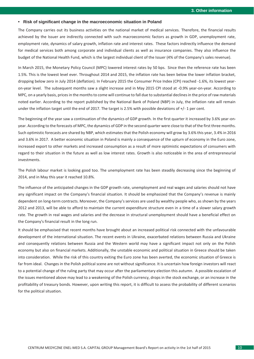#### **• Risk of significant change in the macroeconomic situation in Poland**

The Company carries out its business activities on the national market of medical services. Therefore, the financial results achieved by the Issuer are indirectly connected with such macroeconomic factors as growth in GDP, unemployment rate, employment rate, dynamics of salary growth, inflation rate and interest rates. These factors indirectly influence the demand for medical services both among corporate and individual clients as well as insurance companies. They also influence the budget of the National Health Fund, which is the largest individual client of the Issuer (4% of the Company's sales revenue).

In March 2015, the Monetary Policy Council (MPC) lowered interest rates by 50 bps. Since then the reference rate has been 1.5%. This is the lowest level ever. Throughout 2014 and 2015, the inflation rate has been below the lower inflation bracket, dropping below zero in July 2014 (deflation). In February 2015 the Consumer Price Index (CPI) reached -1.6%, its lowest yearon-year level. The subsequent months saw a slight increase and in May 2015 CPI stood at -0.9% year-on-year. According to MPC, on a yearly basis, prices in the months to come will continue to fall due to substantial declines in the price of raw materials noted earlier. According to the report published by the National Bank of Poland (NBP) in July, the inflation rate will remain under the inflation target until the end of 2017. The target is 2.5% with possible deviations of +/- 1 per cent.

The beginning of the year saw a continuation of the dynamics of GDP growth. In the first quarter it increased by 3.6% year-onyear. According to the forecasts of MPC, the dynamics of GDP in the second quarter were close to that of the first three months. Such optimistic forecasts are shared by NBP, which estimates that the Polish economy will grow by 3.6% this year, 3.4% in 2016 and 3.6% in 2017. A better economic situation in Poland is mainly a consequence of the upturn of economy in the Euro zone, increased export to other markets and increased consumption as a result of more optimistic expectations of consumers with regard to their situation in the future as well as low interest rates. Growth is also noticeable in the area of entrepreneurial investments.

The Polish labour market is looking good too. The unemployment rate has been steadily decreasing since the beginning of 2014, and in May this year it reached 10.8%.

The influence of the anticipated changes in the GDP growth rate, unemployment and real wages and salaries should not have any significant impact on the Company's financial situation. It should be emphasized that the Company's revenue is mainly dependent on long-term contracts. Moreover, the Company's services are used by wealthy people who, as shown by the years 2012 and 2013, will be able to afford to maintain the current expenditure structure even in a time of a slower salary growth rate. The growth in real wages and salaries and the decrease in structural unemployment should have a beneficial effect on the Company's financial result in the long run.

It should be emphasised that recent months have brought about an increased political risk connected with the unfavourable development of the international situation. The recent events in Ukraine, exacerbated relations between Russia and Ukraine and consequently relations between Russia and the Western world may have a significant impact not only on the Polish economy but also on financial markets. Additionally, the unstable economic and political situation in Greece should be taken into consideration. While the risk of this country exiting the Euro zone has been averted, the economic situation of Greece is far from ideal. Changes in the Polish political scene are not without significance. It is uncertain how foreign investors will react to a potential change of the ruling party that may occur after the parliamentary election this autumn. A possible escalation of the issues mentioned above may lead to a weakening of the Polish currency, drops in the stock exchange, or an increase in the profitability of treasury bonds. However, upon writing this report, it is difficult to assess the probability of different scenarios for the political situation.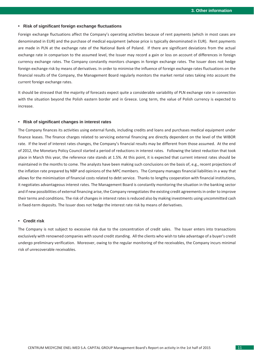#### **• Risk of significant foreign exchange fluctuations**

Foreign exchange fluctuations affect the Company's operating activities because of rent payments (which in most cases are denominated in EUR) and the purchase of medical equipment (whose price is typically denominated in EUR). Rent payments are made in PLN at the exchange rate of the National Bank of Poland. If there are significant deviations from the actual exchange rate in comparison to the assumed level, the Issuer may record a gain or loss on account of differences in foreign currency exchange rates. The Company constantly monitors changes in foreign exchange rates. The Issuer does not hedge foreign exchange risk by means of derivatives. In order to minimise the influence of foreign exchange rates fluctuations on the financial results of the Company, the Management Board regularly monitors the market rental rates taking into account the current foreign exchange rates.

It should be stressed that the majority of forecasts expect quite a considerable variability of PLN exchange rate in connection with the situation beyond the Polish eastern border and in Greece. Long term, the value of Polish currency is expected to increase.

#### **• Risk of significant changes in interest rates**

The Company finances its activities using external funds, including credits and loans and purchases medical equipment under finance leases. The finance charges related to servicing external financing are directly dependent on the level of the WIBOR rate. If the level of interest rates changes, the Company's financial results may be different from those assumed. At the end of 2012, the Monetary Policy Council started a period of reductions in interest rates. Following the latest reduction that took place in March this year, the reference rate stands at 1.5%. At this point, it is expected that current interest rates should be maintained in the months to come. The analysts have been making such conclusions on the basis of, e.g., recent projections of the inflation rate prepared by NBP and opinions of the MPC members. The Company manages financial liabilities in a way that allows for the minimisation of financial costs related to debt service. Thanks to lengthy cooperation with financial institutions, it negotiates advantageous interest rates. The Management Board is constantly monitoring the situation in the banking sector and if new possibilities of external financing arise, the Company renegotiates the existing credit agreements in order to improve their terms and conditions. The risk of changes in interest rates is reduced also by making investments using uncommitted cash in fixed-term deposits. The Issuer does not hedge the interest rate risk by means of derivatives.

#### **• Credit risk**

The Company is not subject to excessive risk due to the concentration of credit sales. The Issuer enters into transactions exclusively with renowned companies with sound credit standing. All the clients who wish to take advantage of a buyer's credit undergo preliminary verification. Moreover, owing to the regular monitoring of the receivables, the Company incurs minimal risk of unrecoverable receivables.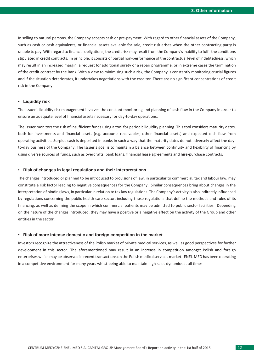In selling to natural persons, the Company accepts cash or pre-payment. With regard to other financial assets of the Company, such as cash or cash equivalents, or financial assets available for sale, credit risk arises when the other contracting party is unable to pay. With regard to financial obligations, the credit risk may result from the Company's inability to fulfil the conditions stipulated in credit contracts. In principle, it consists of partial non-performance of the contractual level of indebtedness, which may result in an increased margin, a request for additional surety or a repair programme, or in extreme cases the termination of the credit contract by the Bank. With a view to minimising such a risk, the Company is constantly monitoring crucial figures and if the situation deteriorates, it undertakes negotiations with the creditor. There are no significant concentrations of credit risk in the Company.

#### **• Liquidity risk**

The Issuer's liquidity risk management involves the constant monitoring and planning of cash flow in the Company in order to ensure an adequate level of financial assets necessary for day-to-day operations.

The Issuer monitors the risk of insufficient funds using a tool for periodic liquidity planning. This tool considers maturity dates, both for investments and financial assets (e.g. accounts receivables, other financial assets) and expected cash flow from operating activities. Surplus cash is deposited in banks in such a way that the maturity dates do not adversely affect the dayto-day business of the Company. The Issuer's goal is to maintain a balance between continuity and flexibility of financing by using diverse sources of funds, such as overdrafts, bank loans, financial lease agreements and hire-purchase contracts.

#### **• Risk of changes in legal regulations and their interpretations**

The changes introduced or planned to be introduced to provisions of law, in particular to commercial, tax and labour law, may constitute a risk factor leading to negative consequences for the Company. Similar consequences bring about changes in the interpretation of binding laws, in particular in relation to tax law regulations. The Company's activity is also indirectly influenced by regulations concerning the public health care sector, including those regulations that define the methods and rules of its financing, as well as defining the scope in which commercial patients may be admitted to public sector facilities. Depending on the nature of the changes introduced, they may have a positive or a negative effect on the activity of the Group and other entities in the sector.

#### **• Risk of more intense domestic and foreign competition in the market**

Investors recognize the attractiveness of the Polish market of private medical services, as well as good perspectives for further development in this sector. The aforementioned may result in an increase in competition amongst Polish and foreign enterprises which may be observed in recent transactions on the Polish medical services market. ENEL-MED has been operating in a competitive environment for many years whilst being able to maintain high sales dynamics at all times.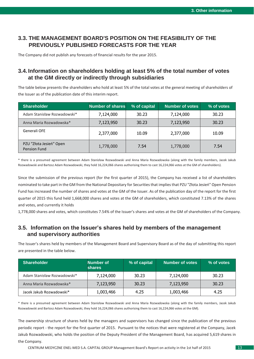## **3.3. THE MANAGEMENT BOARD'S POSITION ON THE FEASIBILITY OF THE PREVIOUSLY PUBLISHED FORECASTS FOR THE YEAR**

The Company did not publish any forecasts of financial results for the year 2015.

## **3.4. Information on shareholders holding at least 5% of the total number of votes at the GM directly or indirectly through subsidiaries**

The table below presents the shareholders who hold at least 5% of the total votes at the general meeting of shareholders of the Issuer as of the publication date of this interim report.

| <b>Shareholder</b>                             | <b>Number of shares</b> | % of capital | <b>Number of votes</b> | % of votes |
|------------------------------------------------|-------------------------|--------------|------------------------|------------|
| Adam Stanisław Rozwadowski*                    | 7,124,000               | 30.23        | 7,124,000              | 30.23      |
| Anna Maria Rozwadowska*                        | 7,123,950               | 30.23        | 7,123,950              | 30.23      |
| Generali OFE                                   | 2,377,000               | 10.09        | 2,377,000              | 10.09      |
| PZU "Złota Jesień" Open<br><b>Pension Fund</b> | 1,778,000               | 7.54         | 1,778,000              | 7.54       |

\* there is a presumed agreement between Adam Stanisław Rozwadowski and Anna Maria Rozwadowska (along with the family members, Jacek Jakub Rozwadowski and Bartosz Adam Rozwadowski, they hold 16,224,066 shares authorising them to cast 16,224,066 votes at the GM of shareholders).

Since the submission of the previous report (for the first quarter of 2015), the Company has received a list of shareholders nominated to take part in the GM from the National Depositary for Securities that implies that PZU "Złota Jesień" Open Pension Fund has increased the number of shares and votes at the GM of the Issuer. As of the publication day of the report for the first quarter of 2015 this fund held 1,668,000 shares and votes at the GM of shareholders, which constituted 7.13% of the shares and votes, and currently it holds

1,778,000 shares and votes, which constitutes 7.54% of the Issuer's shares and votes at the GM of shareholders of the Company.

## <span id="page-12-0"></span>**3.5. Information on the Issuer's shares held by members of the management and supervisory authorities**

The Issuer's shares held by members of the Management Board and Supervisory Board as of the day of submitting this report are presented in the table below.

| <b>Shareholder</b>          | <b>Number of</b><br><b>shares</b> | % of capital | <b>Number of votes</b> | % of votes |
|-----------------------------|-----------------------------------|--------------|------------------------|------------|
| Adam Stanisław Rozwadowski* | 7,124,000                         | 30.23        | 7,124,000              | 30.23      |
| Anna Maria Rozwadowska*     | 7,123,950                         | 30.23        | 7,123,950              | 30.23      |
| Jacek Jakub Rozwadowski*    | 1,003,466                         | 4.25         | 1,003,466              | 4.25       |

\* there is a presumed agreement between Adam Stanisław Rozwadowski and Anna Maria Rozwadowska (along with the family members, Jacek Jakub Rozwadowski and Bartosz Adam Rozwadowski, they hold 16,224,066 shares authorising them to cast 16,224,066 votes at the GM).

The ownership structure of shares held by the managers and supervisors has changed since the publication of the previous periodic report - the report for the first quarter of 2015. Pursuant to the notices that were registered at the Company, Jacek Jakub Rozwadowski, who holds the position of the Deputy President of the Management Board, has acquired 5,619 shares in the Company.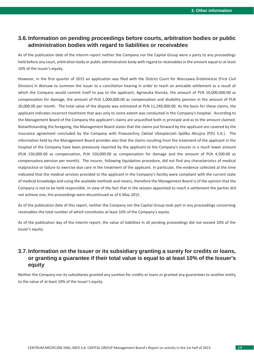## <span id="page-13-0"></span>**3.6. Information on pending proceedings before courts, arbitration bodies or public administration bodies with regard to liabilities or receivables**

As of the publication date of the interim report neither the Company nor the Capital Group were a party to any proceedings held before any court, arbitration body or public administration body with regard to receivables in the amount equal to at least 10% of the Issuer's equity.

However, in the first quarter of 2015 an application was filed with the District Court for Warszawa-Śródmieście (First Civil Division) in Warsaw to summon the Issuer to a conciliation hearing in order to reach an amicable settlement as a result of which the Company would commit itself to pay to the applicant, Agnieszka Koncka, the amount of PLN 10,000,000.00 as compensation for damage, the amount of PLN 1,000,000.00 as compensation and disability pension in the amount of PLN 20,000.00 per month. The total value of the dispute was estimated at PLN 11,240,000.00. As the basis for these claims, the applicant indicates incorrect treatment that was only to some extent was conducted in the Company's hospital. According to the Management Board of the Company the applicant's claims are unjustified both in principle and as to the amount claimed. Notwithstanding the foregoing, the Management Board states that the claims put forward by the applicant are covered by the insurance agreement concluded by the Company with Powszechny Zakład Ubezpieczeń Spółka Akcyjna (PZU S.A.). The information held by the Management Board provides also that the claims resulting from the treatment of the applicant in the hospital of the Company have been previously reported by the applicant to the Company's insurer in a much lower amount (PLN 150,000.00 as compensation, PLN 150,000.00 as compensation for damage and the amount of PLN 4,500.00 as compensatory pension per month). The insurer, following liquidation procedure, did not find any characteristics of medical malpractice or failure to exercise due care in the treatment of the applicant. In particular, the evidence collected at the time indicated that the medical services provided to the applicant in the Company's facility were compliant with the current state of medical knowledge and using the available methods and means, therefore the Management Board is of the opinion that the Company is not to be held responsible. In view of the fact that in the session appointed to reach a settlement the parties did not achieve one, the proceedings were discontinued as of 6 May 2015.

As of the publication date of this report, neither the Company nor the Capital Group took part in any proceedings concerning receivables the total number of which constitutes at least 10% of the Company's equity.

As of the publication day of the interim report, the value of liabilities in all pending proceedings did not exceed 10% of the Issuer's equity.

## **3.7. Information on the Issuer or its subsidiary granting a surety for credits or loans, or granting a guarantee if their total value is equal to at least 10% of the Issuer's equity**

Neither the Company nor its subsidiaries granted any sureties for credits or loans or granted any guarantees to another entity to the value of at least 10% of the Issuer's equity.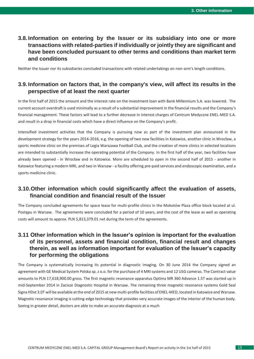## **3.8. Information on entering by the Issuer or its subsidiary into one or more transactions with related-parties if individually or jointly they are significant and have been concluded pursuant to other terms and conditions than market term and conditions**

Neither the Issuer nor its subsidiaries concluded transactions with related undertakings on non-arm's length conditions.

## **3.9. Information on factors that, in the company's view, will affect its results in the perspective of at least the next quarter**

In the first half of 2015 the amount and the interest rate on the investment loan with Bank Millennium S.A. was lowered. The current account overdraft is used minimally as a result of a substantial improvement in the financial results and the Company's financial management. These factors will lead to a further decrease in interest charges of Centrum Medyczne ENEL-MED S.A. and result in a drop in financial costs which have a direct influence on the Company's profit.

Intensified investment activities that the Company is pursuing now as part of the investment plan announced in the development strategy for the years 2014-2016, e.g. the opening of two new facilities in Katowice, another clinic in Wrocław, a sports medicine clinic on the premises of Legia Warszawa Football Club, and the creation of more clinics in selected locations are intended to substantially increase the operating potential of the Company. In the first half of the year, two facilities have already been opened - in Wrocław and in Katowice. More are scheduled to open in the second half of 2015 - another in Katowice featuring a modern MRI, and two in Warsaw - a facility offering pre-paid services and endoscopic examination, and a sports medicine clinic.

## <span id="page-14-0"></span>**3.10.Other information which could significantly affect the evaluation of assets, financial condition and financial result of the Issuer**

The Company concluded agreements for space lease for multi-profile clinics in the Mokotów Plaza office block located at ul. Postępu in Warsaw. The agreements were concluded for a period of 10 years, and the cost of the lease as well as operating costs will amount to approx. PLN 5,813,379.01 net during the term of the agreements.

## <span id="page-14-1"></span>**3.11 Other information which in the Issuer's opinion is important for the evaluation of its personnel, assets and financial condition, financial result and changes therein, as well as information important for evaluation of the Issuer's capacity for performing the obligations**

The Company is systematically increasing its potential in diagnostic imaging. On 30 June 2014 the Company signed an agreement with GE Medical System Polska sp. z o.o. for the purchase of 4 MRI systems and 12 USG cameras. The Contract value amounts to PLN 17,618,900.00 gross. The first magnetic resonance apparatus Optima MR 360 Advance 1.5T was started up in mid-September 2014 in Zacisze Diagnostic Hospital in Warsaw. The remaining three magnetic resonance systems Gold Seal Signa HDxt 3.0T will be available at the end of 2015 at new multi-profile facilities of ENEL-MED, located in Katowice and Warsaw. Magnetic resonance imaging is cutting-edge technology that provides very accurate images of the interior of the human body. Seeing in greater detail, doctors are able to make an accurate diagnosis at a much